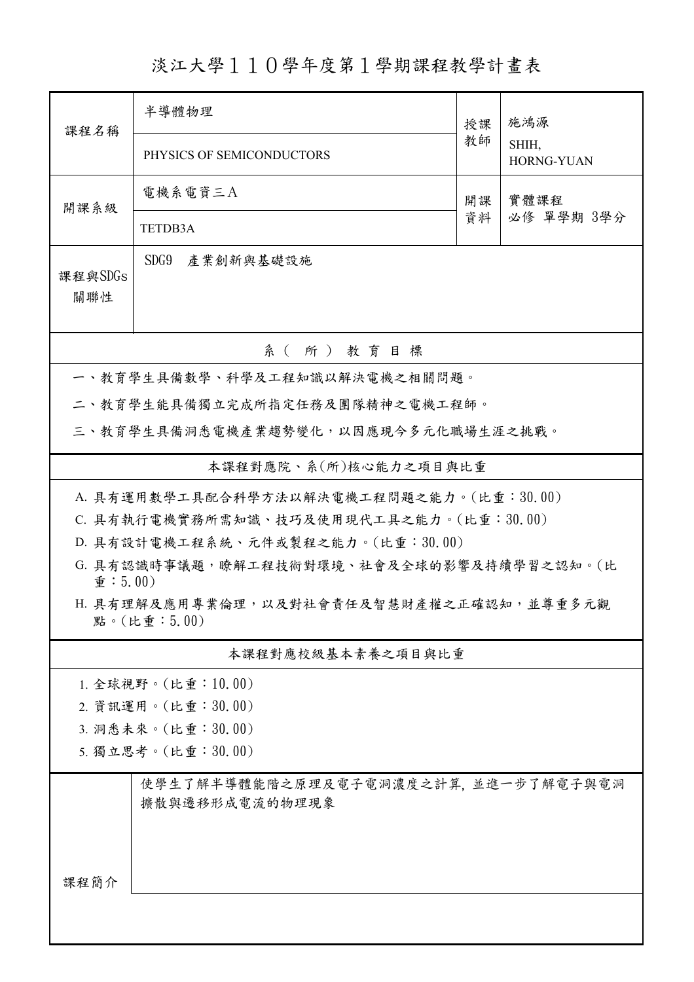## 淡江大學110學年度第1學期課程教學計畫表

| 課程名稱                          | 半導體物理                                                     | 授課 | 施鴻源                        |
|-------------------------------|-----------------------------------------------------------|----|----------------------------|
|                               | PHYSICS OF SEMICONDUCTORS                                 | 教師 | SHIH,<br><b>HORNG-YUAN</b> |
| 開課系級                          | 電機系電資三A                                                   | 開課 | 實體課程<br>必修 單學期 3學分         |
|                               | <b>TETDB3A</b>                                            | 資料 |                            |
| 課程與SDGs<br>關聯性                | SDG9 產業創新與基礎設施                                            |    |                            |
|                               | 系(所)教育目標                                                  |    |                            |
|                               | 一、教育學生具備數學、科學及工程知識以解決電機之相關問題。                             |    |                            |
|                               | 二、教育學生能具備獨立完成所指定任務及團隊精神之電機工程師。                            |    |                            |
|                               | 三、教育學生具備洞悉電機產業趨勢變化,以因應現今多元化職場生涯之挑戰。                       |    |                            |
|                               | 本課程對應院、系(所)核心能力之項目與比重                                     |    |                            |
|                               | A. 具有運用數學工具配合科學方法以解決電機工程問題之能力。(比重:30.00)                  |    |                            |
|                               | C. 具有執行電機實務所需知識、技巧及使用現代工具之能力。(比重:30.00)                   |    |                            |
|                               | D. 具有設計電機工程系統、元件或製程之能力。(比重:30.00)                         |    |                            |
| $\hat{\mathbf{\Psi}}$ : 5.00) | G. 具有認識時事議題,瞭解工程技術對環境、社會及全球的影響及持續學習之認知。(比                 |    |                            |
|                               | H. 具有理解及應用專業倫理, 以及對社會責任及智慧財產權之正確認知, 並尊重多元觀<br>點。(比重:5.00) |    |                            |
|                               | 本課程對應校級基本素養之項目與比重                                         |    |                            |
|                               | 1. 全球視野。(比重: 10.00)                                       |    |                            |
|                               | 2. 資訊運用。(比重:30.00)                                        |    |                            |
|                               | 3. 洞悉未來。(比重:30.00)                                        |    |                            |
|                               | 5. 獨立思考。(比重:30.00)                                        |    |                            |
|                               | 使學生了解半導體能階之原理及電子電洞濃度之計算,並進一步了解電子與電洞<br>擴散與遷移形成電流的物理現象     |    |                            |
| 课程简介                          |                                                           |    |                            |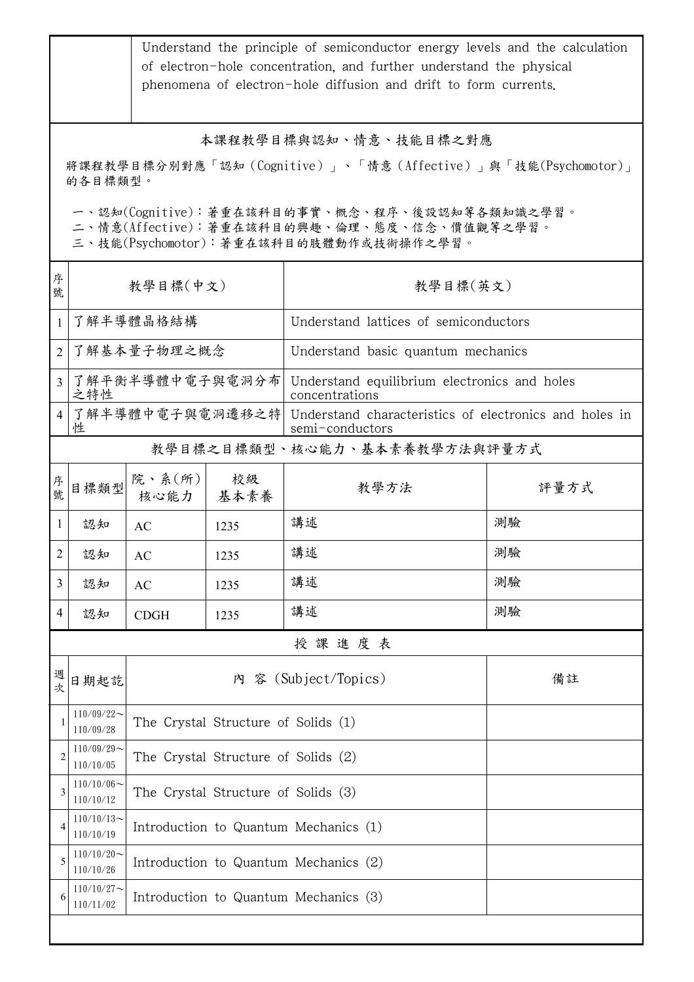|                |                               |                                       |                                     | Understand the principle of semiconductor energy levels and the calculation<br>of electron-hole concentration, and further understand the physical<br>phenomena of electron-hole diffusion and drift to form currents.          |      |  |  |
|----------------|-------------------------------|---------------------------------------|-------------------------------------|---------------------------------------------------------------------------------------------------------------------------------------------------------------------------------------------------------------------------------|------|--|--|
|                | 的各目標類型。                       |                                       |                                     | 本課程教學目標與認知、情意、技能目標之對應<br>將課程教學目標分別對應「認知(Cognitive)」、「情意(Affective)」與「技能(Psychomotor)」<br>一、認知(Cognitive):著重在該科目的事實、概念、程序、後設認知等各類知識之學習。<br>二、情意(Affective):著重在該科目的興趣、倫理、態度、信念、價值觀等之學習。<br>三、技能(Psychomotor):著重在該科目的肢體動作或技術操作之學習。 |      |  |  |
| 序<br>號         | 教學目標(中文)                      |                                       |                                     | 教學目標(英文)                                                                                                                                                                                                                        |      |  |  |
| 1              | 了解半導體晶格結構                     |                                       |                                     | Understand lattices of semiconductors                                                                                                                                                                                           |      |  |  |
| $\overline{2}$ | 了解基本量子物理之概念                   |                                       |                                     | Understand basic quantum mechanics                                                                                                                                                                                              |      |  |  |
| $\overline{3}$ | 了解平衡半導體中電子與電洞分布 <br>之特性       |                                       |                                     | Understand equilibrium electronics and holes<br>concentrations                                                                                                                                                                  |      |  |  |
| $\overline{4}$ | 性                             |                                       |                                     | 了解半導體中電子與電洞遷移之特  Understand characteristics of electronics and holes in<br>semi-conductors                                                                                                                                      |      |  |  |
|                | 教學目標之目標類型、核心能力、基本素養教學方法與評量方式  |                                       |                                     |                                                                                                                                                                                                                                 |      |  |  |
| 序號             | 目標類型                          | 院、系 $(\text{m})$<br>核心能力              | 校級<br>基本素養                          | 教學方法                                                                                                                                                                                                                            | 評量方式 |  |  |
| 1              | 認知                            | AC                                    | 1235                                | 講述                                                                                                                                                                                                                              | 測驗   |  |  |
| $\overline{2}$ | 認知                            | $\mathbf{A}\mathbf{C}$                | 1235                                | 講述                                                                                                                                                                                                                              | 測驗   |  |  |
| 3              | 認知                            | AC                                    | 1235                                | 講述                                                                                                                                                                                                                              | 測驗   |  |  |
| 4              | 認知                            | <b>CDGH</b>                           | 1235                                | 講述                                                                                                                                                                                                                              | 測驗   |  |  |
|                |                               |                                       |                                     | 授課進度表                                                                                                                                                                                                                           |      |  |  |
| 週<br>次         | 日期起訖                          |                                       |                                     | 內 容 (Subject/Topics)                                                                                                                                                                                                            | 備註   |  |  |
|                | $110/09/22$ ~<br>110/09/28    | The Crystal Structure of Solids (1)   |                                     |                                                                                                                                                                                                                                 |      |  |  |
| 2              | $110/09/29$ ~<br>110/10/05    | The Crystal Structure of Solids (2)   |                                     |                                                                                                                                                                                                                                 |      |  |  |
| 3              | $110/10/06 \sim$<br>110/10/12 |                                       | The Crystal Structure of Solids (3) |                                                                                                                                                                                                                                 |      |  |  |
| 4              | $110/10/13$ ~<br>110/10/19    | Introduction to Quantum Mechanics (1) |                                     |                                                                                                                                                                                                                                 |      |  |  |
| 5              | $110/10/20$ ~<br>110/10/26    | Introduction to Quantum Mechanics (2) |                                     |                                                                                                                                                                                                                                 |      |  |  |
| 6              | $110/10/27$ ~<br>110/11/02    |                                       |                                     | Introduction to Quantum Mechanics (3)                                                                                                                                                                                           |      |  |  |
|                |                               |                                       |                                     |                                                                                                                                                                                                                                 |      |  |  |